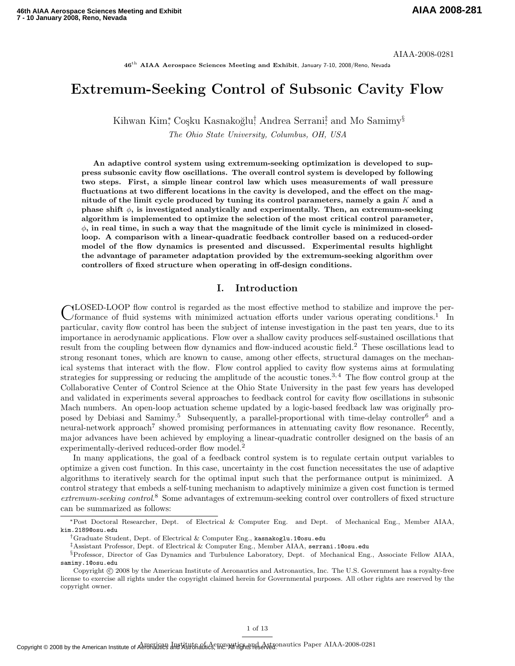AIAA-2008-0281

46<sup>th</sup> AIAA Aerospace Sciences Meeting and Exhibit, January 7-10, 2008/Reno, Nevada

# Extremum-Seeking Control of Subsonic Cavity Flow

Kihwan Kim\*, Coşku Kasnakoğlu<sup>†</sup> Andrea Serrani‡ and Mo Samimy<sup>§</sup> The Ohio State University, Columbus, OH, USA

An adaptive control system using extremum-seeking optimization is developed to suppress subsonic cavity flow oscillations. The overall control system is developed by following two steps. First, a simple linear control law which uses measurements of wall pressure fluctuations at two different locations in the cavity is developed, and the effect on the magnitude of the limit cycle produced by tuning its control parameters, namely a gain  $K$  and a phase shift  $\phi$ , is investigated analytically and experimentally. Then, an extremum-seeking algorithm is implemented to optimize the selection of the most critical control parameter,  $\phi$ , in real time, in such a way that the magnitude of the limit cycle is minimized in closedloop. A comparison with a linear-quadratic feedback controller based on a reduced-order model of the flow dynamics is presented and discussed. Experimental results highlight the advantage of parameter adaptation provided by the extremum-seeking algorithm over controllers of fixed structure when operating in off-design conditions.

#### I. Introduction

CLOSED-LOOP flow control is regarded as the most effective method to stabilize and improve the per-<br>C formance of fluid systems with minimized actuation efforts under various operating conditions.<sup>1</sup> In formance of fluid systems with minimized actuation efforts under various operating conditions.<sup>1</sup> In particular, cavity flow control has been the subject of intense investigation in the past ten years, due to its importance in aerodynamic applications. Flow over a shallow cavity produces self-sustained oscillations that result from the coupling between flow dynamics and flow-induced acoustic field.<sup>2</sup> These oscillations lead to strong resonant tones, which are known to cause, among other effects, structural damages on the mechanical systems that interact with the flow. Flow control applied to cavity flow systems aims at formulating strategies for suppressing or reducing the amplitude of the acoustic tones.<sup>3,4</sup> The flow control group at the Collaborative Center of Control Science at the Ohio State University in the past few years has developed and validated in experiments several approaches to feedback control for cavity flow oscillations in subsonic Mach numbers. An open-loop actuation scheme updated by a logic-based feedback law was originally proposed by Debiasi and Samimy.<sup>5</sup> Subsequently, a parallel-proportional with time-delay controller<sup>6</sup> and a neural-network approach<sup>7</sup> showed promising performances in attenuating cavity flow resonance. Recently, major advances have been achieved by employing a linear-quadratic controller designed on the basis of an experimentally-derived reduced-order flow model.<sup>2</sup>

In many applications, the goal of a feedback control system is to regulate certain output variables to optimize a given cost function. In this case, uncertainty in the cost function necessitates the use of adaptive algorithms to iteratively search for the optimal input such that the performance output is minimized. A control strategy that embeds a self-tuning mechanism to adaptively minimize a given cost function is termed extremum-seeking control.<sup>8</sup> Some advantages of extremum-seeking control over controllers of fixed structure can be summarized as follows:

‡Assistant Professor, Dept. of Electrical & Computer Eng., Member AIAA, serrani.1@osu.edu

<sup>∗</sup>Post Doctoral Researcher, Dept. of Electrical & Computer Eng. and Dept. of Mechanical Eng., Member AIAA, kim.2189@osu.edu

<sup>†</sup>Graduate Student, Dept. of Electrical & Computer Eng., kasnakoglu.1@osu.edu

<sup>§</sup>Professor, Director of Gas Dynamics and Turbulence Laboratory, Dept. of Mechanical Eng., Associate Fellow AIAA, samimy.1@osu.edu

Copyright © 2008 by the American Institute of Aeronautics and Astronautics, Inc. The U.S. Government has a royalty-free license to exercise all rights under the copyright claimed herein for Governmental purposes. All other rights are reserved by the copyright owner.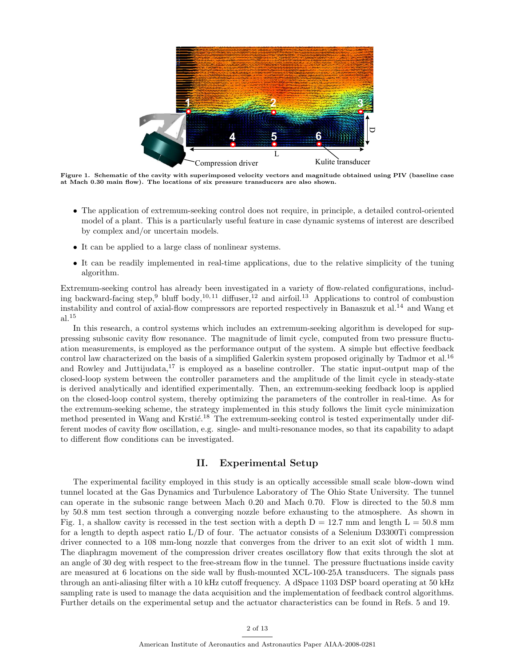

Figure 1. Schematic of the cavity with superimposed velocity vectors and magnitude obtained using PIV (baseline case at Mach 0.30 main flow). The locations of six pressure transducers are also shown.

- The application of extremum-seeking control does not require, in principle, a detailed control-oriented model of a plant. This is a particularly useful feature in case dynamic systems of interest are described by complex and/or uncertain models.
- It can be applied to a large class of nonlinear systems.
- It can be readily implemented in real-time applications, due to the relative simplicity of the tuning algorithm.

Extremum-seeking control has already been investigated in a variety of flow-related configurations, including backward-facing step,<sup>9</sup> bluff body,<sup>10,11</sup> diffuser,<sup>12</sup> and airfoil.<sup>13</sup> Applications to control of combustion instability and control of axial-flow compressors are reported respectively in Banaszuk et al.<sup>14</sup> and Wang et al.<sup>15</sup>

In this research, a control systems which includes an extremum-seeking algorithm is developed for suppressing subsonic cavity flow resonance. The magnitude of limit cycle, computed from two pressure fluctuation measurements, is employed as the performance output of the system. A simple but effective feedback control law characterized on the basis of a simplified Galerkin system proposed originally by Tadmor et al.<sup>16</sup> and Rowley and Juttijudata, $^{17}$  is employed as a baseline controller. The static input-output map of the closed-loop system between the controller parameters and the amplitude of the limit cycle in steady-state is derived analytically and identified experimentally. Then, an extremum-seeking feedback loop is applied on the closed-loop control system, thereby optimizing the parameters of the controller in real-time. As for the extremum-seeking scheme, the strategy implemented in this study follows the limit cycle minimization method presented in Wang and Krstić.<sup>18</sup> The extremum-seeking control is tested experimentally under different modes of cavity flow oscillation, e.g. single- and multi-resonance modes, so that its capability to adapt to different flow conditions can be investigated.

#### II. Experimental Setup

The experimental facility employed in this study is an optically accessible small scale blow-down wind tunnel located at the Gas Dynamics and Turbulence Laboratory of The Ohio State University. The tunnel can operate in the subsonic range between Mach 0.20 and Mach 0.70. Flow is directed to the 50.8 mm by 50.8 mm test section through a converging nozzle before exhausting to the atmosphere. As shown in Fig. 1, a shallow cavity is recessed in the test section with a depth  $D = 12.7$  mm and length  $L = 50.8$  mm for a length to depth aspect ratio L/D of four. The actuator consists of a Selenium D3300Ti compression driver connected to a 108 mm-long nozzle that converges from the driver to an exit slot of width 1 mm. The diaphragm movement of the compression driver creates oscillatory flow that exits through the slot at an angle of 30 deg with respect to the free-stream flow in the tunnel. The pressure fluctuations inside cavity are measured at 6 locations on the side wall by flush-mounted XCL-100-25A transducers. The signals pass through an anti-aliasing filter with a 10 kHz cutoff frequency. A dSpace 1103 DSP board operating at 50 kHz sampling rate is used to manage the data acquisition and the implementation of feedback control algorithms. Further details on the experimental setup and the actuator characteristics can be found in Refs. 5 and 19.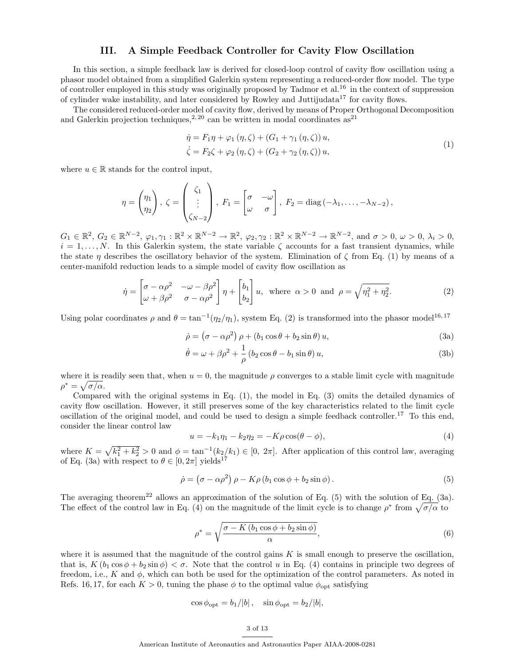### III. A Simple Feedback Controller for Cavity Flow Oscillation

In this section, a simple feedback law is derived for closed-loop control of cavity flow oscillation using a phasor model obtained from a simplified Galerkin system representing a reduced-order flow model. The type of controller employed in this study was originally proposed by Tadmor et al.<sup>16</sup> in the context of suppression of cylinder wake instability, and later considered by Rowley and Juttijudata<sup>17</sup> for cavity flows.

The considered reduced-order model of cavity flow, derived by means of Proper Orthogonal Decomposition and Galerkin projection techniques,<sup>2, 20</sup> can be written in modal coordinates as<sup>21</sup>

$$
\dot{\eta} = F_1 \eta + \varphi_1 (\eta, \zeta) + (G_1 + \gamma_1 (\eta, \zeta)) u,
$$
  
\n
$$
\dot{\zeta} = F_2 \zeta + \varphi_2 (\eta, \zeta) + (G_2 + \gamma_2 (\eta, \zeta)) u,
$$
\n(1)

where  $u \in \mathbb{R}$  stands for the control input,

$$
\eta = \begin{pmatrix} \eta_1 \\ \eta_2 \end{pmatrix}, \zeta = \begin{pmatrix} \zeta_1 \\ \vdots \\ \zeta_{N-2} \end{pmatrix}, F_1 = \begin{bmatrix} \sigma & -\omega \\ \omega & \sigma \end{bmatrix}, F_2 = \text{diag}(-\lambda_1, \ldots, -\lambda_{N-2}),
$$

 $G_1 \in \mathbb{R}^2$ ,  $G_2 \in \mathbb{R}^{N-2}$ ,  $\varphi_1, \gamma_1 : \mathbb{R}^2 \times \mathbb{R}^{N-2} \to \mathbb{R}^2$ ,  $\varphi_2, \gamma_2 : \mathbb{R}^2 \times \mathbb{R}^{N-2} \to \mathbb{R}^{N-2}$ , and  $\sigma > 0$ ,  $\omega > 0$ ,  $\lambda_i > 0$ ,  $i = 1, \ldots, N$ . In this Galerkin system, the state variable  $\zeta$  accounts for a fast transient dynamics, while the state  $\eta$  describes the oscillatory behavior of the system. Elimination of  $\zeta$  from Eq. (1) by means of a center-manifold reduction leads to a simple model of cavity flow oscillation as

$$
\dot{\eta} = \begin{bmatrix} \sigma - \alpha \rho^2 & -\omega - \beta \rho^2 \\ \omega + \beta \rho^2 & \sigma - \alpha \rho^2 \end{bmatrix} \eta + \begin{bmatrix} b_1 \\ b_2 \end{bmatrix} u, \text{ where } \alpha > 0 \text{ and } \rho = \sqrt{\eta_1^2 + \eta_2^2}.
$$
 (2)

Using polar coordinates  $\rho$  and  $\theta = \tan^{-1}(\eta_2/\eta_1)$ , system Eq. (2) is transformed into the phasor model<sup>16,17</sup>

$$
\dot{\rho} = (\sigma - \alpha \rho^2) \rho + (b_1 \cos \theta + b_2 \sin \theta) u,
$$
\n(3a)

$$
\dot{\theta} = \omega + \beta \rho^2 + \frac{1}{\rho} \left( b_2 \cos \theta - b_1 \sin \theta \right) u,\tag{3b}
$$

where it is readily seen that, when  $u = 0$ , the magnitude  $\rho$  converges to a stable limit cycle with magnitude  $\rho^* = \sqrt{\sigma/\alpha}.$ 

Compared with the original systems in Eq. (1), the model in Eq. (3) omits the detailed dynamics of cavity flow oscillation. However, it still preserves some of the key characteristics related to the limit cycle oscillation of the original model, and could be used to design a simple feedback controller.<sup>17</sup> To this end, consider the linear control law

$$
u = -k_1 \eta_1 - k_2 \eta_2 = -K \rho \cos(\theta - \phi),
$$
\n(4)

where  $K =$ p  $\sqrt{k_1^2+k_2^2} > 0$  and  $\phi = \tan^{-1}(k_2/k_1) \in [0, 2\pi]$ . After application of this control law, averaging of Eq. (3a) with respect to  $\theta \in [0, 2\pi]$  yields<sup>17</sup>

$$
\dot{\rho} = (\sigma - \alpha \rho^2) \rho - K \rho (b_1 \cos \phi + b_2 \sin \phi). \tag{5}
$$

The averaging theorem<sup>22</sup> allows an approximation of the solution of Eq. (5) with the solution of Eq. (3a). The averaging theorem<sup>--</sup> allows an approximation of the solution of Eq. (5) with the solution of Eq. (3)<br>The effect of the control law in Eq. (4) on the magnitude of the limit cycle is to change  $\rho^*$  from  $\sqrt{\sigma/\alpha}$  to

$$
\rho^* = \sqrt{\frac{\sigma - K \left(b_1 \cos \phi + b_2 \sin \phi\right)}{\alpha}},\tag{6}
$$

where it is assumed that the magnitude of the control gains  $K$  is small enough to preserve the oscillation, that is,  $K(b_1 \cos \phi + b_2 \sin \phi) < \sigma$ . Note that the control u in Eq. (4) contains in principle two degrees of freedom, i.e., K and  $\phi$ , which can both be used for the optimization of the control parameters. As noted in Refs. 16, 17, for each  $K > 0$ , tuning the phase  $\phi$  to the optimal value  $\phi_{\text{opt}}$  satisfying

$$
\cos \phi_{\rm opt} = b_1/|b| \,, \quad \sin \phi_{\rm opt} = b_2/|b|,
$$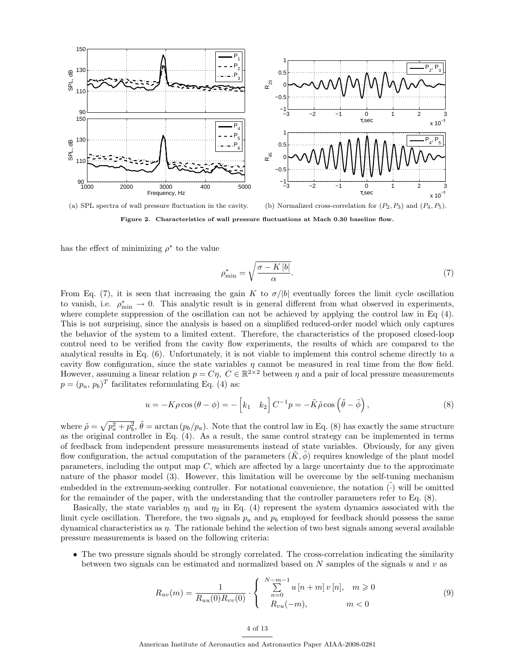

Figure 2. Characteristics of wall pressure fluctuations at Mach 0.30 baseline flow.

has the effect of minimizing  $\rho^*$  to the value

$$
\rho_{\min}^* = \sqrt{\frac{\sigma - K \left| b \right|}{\alpha}}.\tag{7}
$$

From Eq. (7), it is seen that increasing the gain K to  $\sigma/|b|$  eventually forces the limit cycle oscillation to vanish, i.e.  $\rho_{\min}^* \to 0$ . This analytic result is in general different from what observed in experiments, where complete suppression of the oscillation can not be achieved by applying the control law in Eq  $(4)$ . This is not surprising, since the analysis is based on a simplified reduced-order model which only captures the behavior of the system to a limited extent. Therefore, the characteristics of the proposed closed-loop control need to be verified from the cavity flow experiments, the results of which are compared to the analytical results in Eq. (6). Unfortunately, it is not viable to implement this control scheme directly to a cavity flow configuration, since the state variables  $\eta$  cannot be measured in real time from the flow field. However, assuming a linear relation  $p = C\eta$ ,  $C \in \mathbb{R}^{2\times 2}$  between  $\eta$  and a pair of local pressure measurements  $p = (p_a, p_b)^T$  facilitates reformulating Eq. (4) as:

$$
u = -K\rho\cos\left(\theta - \phi\right) = -\left[k_1 \quad k_2\right]C^{-1}p = -\tilde{K}\tilde{\rho}\cos\left(\tilde{\theta} - \tilde{\phi}\right),\tag{8}
$$

where  $\tilde{\rho} =$ p  $\overline{p_a^2 + p_b^2}$ ,  $\tilde{\theta} = \arctan (p_b/p_a)$ . Note that the control law in Eq. (8) has exactly the same structure as the original controller in Eq. (4). As a result, the same control strategy can be implemented in terms of feedback from independent pressure measurements instead of state variables. Obviously, for any given flow configuration, the actual computation of the parameters  $(K, \phi)$  requires knowledge of the plant model parameters, including the output map  $C$ , which are affected by a large uncertainty due to the approximate nature of the phasor model (3). However, this limitation will be overcome by the self-tuning mechanism embedded in the extremum-seeking controller. For notational convenience, the notation  $(\cdot)$  will be omitted for the remainder of the paper, with the understanding that the controller parameters refer to Eq. (8).

Basically, the state variables  $\eta_1$  and  $\eta_2$  in Eq. (4) represent the system dynamics associated with the limit cycle oscillation. Therefore, the two signals  $p_a$  and  $p_b$  employed for feedback should possess the same dynamical characteristics as  $\eta$ . The rationale behind the selection of two best signals among several available pressure measurements is based on the following criteria:

• The two pressure signals should be strongly correlated. The cross-correlation indicating the similarity between two signals can be estimated and normalized based on  $N$  samples of the signals  $u$  and  $v$  as

$$
R_{uv}(m) = \frac{1}{R_{uu}(0)R_{vv}(0)} \cdot \begin{cases} \sum_{n=0}^{N-m-1} u[n+m] \, v[n], & m \geq 0\\ R_{vu}(-m), & m < 0 \end{cases}
$$
(9)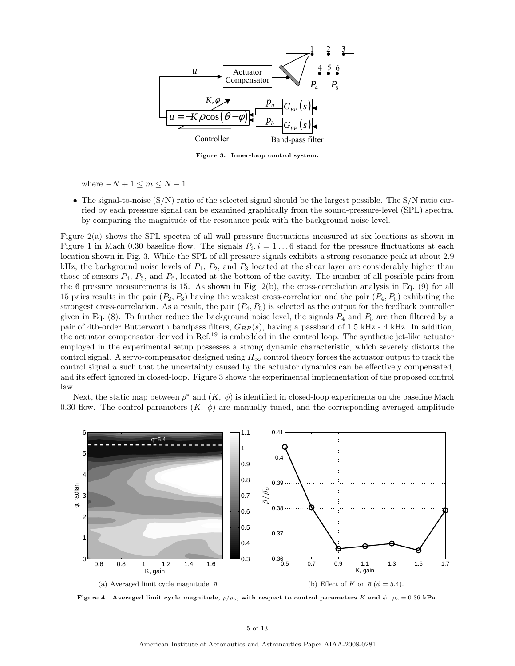

Figure 3. Inner-loop control system.

where  $-N+1 \leq m \leq N-1$ .

• The signal-to-noise  $(S/N)$  ratio of the selected signal should be the largest possible. The  $S/N$  ratio carried by each pressure signal can be examined graphically from the sound-pressure-level (SPL) spectra, by comparing the magnitude of the resonance peak with the background noise level.

Figure 2(a) shows the SPL spectra of all wall pressure fluctuations measured at six locations as shown in Figure 1 in Mach 0.30 baseline flow. The signals  $P_i$ ,  $i = 1...6$  stand for the pressure fluctuations at each location shown in Fig. 3. While the SPL of all pressure signals exhibits a strong resonance peak at about 2.9 kHz, the background noise levels of  $P_1$ ,  $P_2$ , and  $P_3$  located at the shear layer are considerably higher than those of sensors  $P_4$ ,  $P_5$ , and  $P_6$ , located at the bottom of the cavity. The number of all possible pairs from the 6 pressure measurements is 15. As shown in Fig.  $2(b)$ , the cross-correlation analysis in Eq. (9) for all 15 pairs results in the pair  $(P_2, P_3)$  having the weakest cross-correlation and the pair  $(P_4, P_5)$  exhibiting the strongest cross-correlation. As a result, the pair  $(P_4, P_5)$  is selected as the output for the feedback controller given in Eq.  $(8)$ . To further reduce the background noise level, the signals  $P_4$  and  $P_5$  are then filtered by a pair of 4th-order Butterworth bandpass filters,  $G_{BP}(s)$ , having a passband of 1.5 kHz - 4 kHz. In addition, the actuator compensator derived in Ref.<sup>19</sup> is embedded in the control loop. The synthetic jet-like actuator employed in the experimental setup possesses a strong dynamic characteristic, which severely distorts the control signal. A servo-compensator designed using  $H_{\infty}$  control theory forces the actuator output to track the control signal  $u$  such that the uncertainty caused by the actuator dynamics can be effectively compensated, and its effect ignored in closed-loop. Figure 3 shows the experimental implementation of the proposed control law.

Next, the static map between  $\rho^*$  and  $(K, \phi)$  is identified in closed-loop experiments on the baseline Mach 0.30 flow. The control parameters  $(K, \phi)$  are manually tuned, and the corresponding averaged amplitude



Figure 4. Averaged limit cycle magnitude,  $\bar{\rho}/\bar{\rho}_o$ , with respect to control parameters K and  $\phi$ .  $\bar{\rho}_o = 0.36$  kPa.

American Institute of Aeronautics and Astronautics Paper AIAA-2008-0281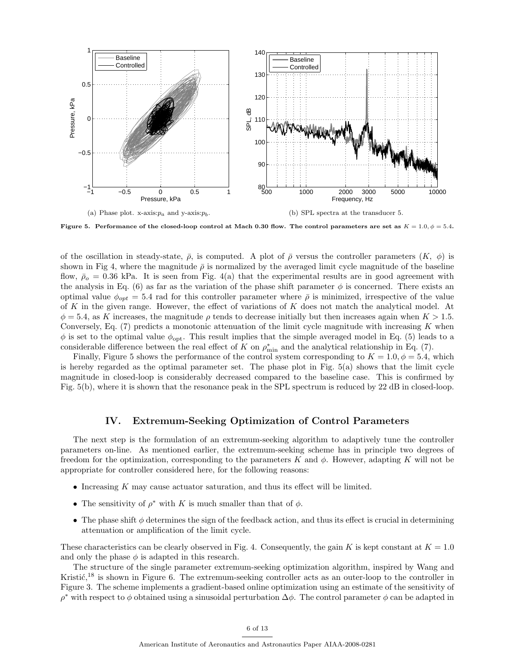

Figure 5. Performance of the closed-loop control at Mach 0.30 flow. The control parameters are set as  $K = 1.0, \phi = 5.4$ .

of the oscillation in steady-state,  $\bar{\rho}$ , is computed. A plot of  $\bar{\rho}$  versus the controller parameters  $(K, \phi)$  is shown in Fig 4, where the magnitude  $\bar{\rho}$  is normalized by the averaged limit cycle magnitude of the baseline flow,  $\bar{\rho}_o = 0.36$  kPa. It is seen from Fig. 4(a) that the experimental results are in good agreement with the analysis in Eq. (6) as far as the variation of the phase shift parameter  $\phi$  is concerned. There exists an optimal value  $\phi_{opt} = 5.4$  rad for this controller parameter where  $\bar{\rho}$  is minimized, irrespective of the value of K in the given range. However, the effect of variations of K does not match the analytical model. At  $\phi = 5.4$ , as K increases, the magnitude  $\rho$  tends to decrease initially but then increases again when  $K > 1.5$ . Conversely, Eq.  $(7)$  predicts a monotonic attenuation of the limit cycle magnitude with increasing K when  $\phi$  is set to the optimal value  $\phi_{\text{opt}}$ . This result implies that the simple averaged model in Eq. (5) leads to a considerable difference between the real effect of K on  $\rho_{\min}^*$  and the analytical relationship in Eq. (7).

Finally, Figure 5 shows the performance of the control system corresponding to  $K = 1.0, \phi = 5.4$ , which is hereby regarded as the optimal parameter set. The phase plot in Fig. 5(a) shows that the limit cycle magnitude in closed-loop is considerably decreased compared to the baseline case. This is confirmed by Fig. 5(b), where it is shown that the resonance peak in the SPL spectrum is reduced by 22 dB in closed-loop.

## IV. Extremum-Seeking Optimization of Control Parameters

The next step is the formulation of an extremum-seeking algorithm to adaptively tune the controller parameters on-line. As mentioned earlier, the extremum-seeking scheme has in principle two degrees of freedom for the optimization, corresponding to the parameters K and  $\phi$ . However, adapting K will not be appropriate for controller considered here, for the following reasons:

- Increasing K may cause actuator saturation, and thus its effect will be limited.
- The sensitivity of  $\rho^*$  with K is much smaller than that of  $\phi$ .
- The phase shift  $\phi$  determines the sign of the feedback action, and thus its effect is crucial in determining attenuation or amplification of the limit cycle.

These characteristics can be clearly observed in Fig. 4. Consequently, the gain K is kept constant at  $K = 1.0$ and only the phase  $\phi$  is adapted in this research.

The structure of the single parameter extremum-seeking optimization algorithm, inspired by Wang and Kristi $\zeta$ <sup>18</sup> is shown in Figure 6. The extremum-seeking controller acts as an outer-loop to the controller in Figure 3. The scheme implements a gradient-based online optimization using an estimate of the sensitivity of  $\rho^*$  with respect to  $\phi$  obtained using a sinusoidal perturbation  $\Delta\phi$ . The control parameter  $\phi$  can be adapted in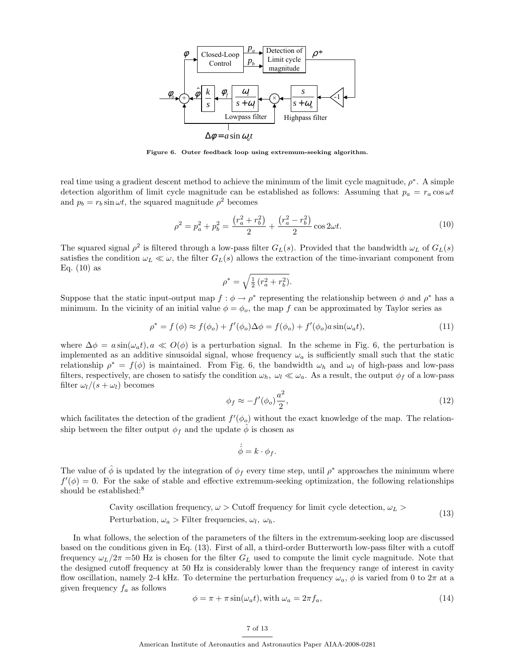

Figure 6. Outer feedback loop using extremum-seeking algorithm.

real time using a gradient descent method to achieve the minimum of the limit cycle magnitude,  $\rho^*$ . A simple detection algorithm of limit cycle magnitude can be established as follows: Assuming that  $p_a = r_a \cos \omega t$ and  $p_b = r_b \sin \omega t$ , the squared magnitude  $\rho^2$  becomes

$$
\rho^2 = p_a^2 + p_b^2 = \frac{(r_a^2 + r_b^2)}{2} + \frac{(r_a^2 - r_b^2)}{2} \cos 2\omega t.
$$
\n(10)

The squared signal  $\rho^2$  is filtered through a low-pass filter  $G_L(s)$ . Provided that the bandwidth  $\omega_L$  of  $G_L(s)$ satisfies the condition  $\omega_L \ll \omega$ , the filter  $G_L(s)$  allows the extraction of the time-invariant component from Eq.  $(10)$  as  $\mathcal{L}$ 

$$
\rho^* = \sqrt{\frac{1}{2} (r_a^2 + r_b^2)}.
$$

Suppose that the static input-output map  $f : \phi \to \rho^*$  representing the relationship between  $\phi$  and  $\rho^*$  has a minimum. In the vicinity of an initial value  $\phi = \phi_o$ , the map f can be approximated by Taylor series as

$$
\rho^* = f(\phi) \approx f(\phi_o) + f'(\phi_o) \Delta \phi = f(\phi_o) + f'(\phi_o) a \sin(\omega_a t), \tag{11}
$$

where  $\Delta \phi = a \sin(\omega_a t), a \ll O(\phi)$  is a perturbation signal. In the scheme in Fig. 6, the perturbation is implemented as an additive sinusoidal signal, whose frequency  $\omega_a$  is sufficiently small such that the static relationship  $\rho^* = f(\phi)$  is maintained. From Fig. 6, the bandwidth  $\omega_h$  and  $\omega_l$  of high-pass and low-pass filters, respectively, are chosen to satisfy the condition  $\omega_h$ ,  $\omega_l \ll \omega_a$ . As a result, the output  $\phi_f$  of a low-pass filter  $\omega_l/(s + \omega_l)$  becomes

$$
\phi_f \approx -f'(\phi_o)\frac{a^2}{2},\tag{12}
$$

which facilitates the detection of the gradient  $f'(\phi_o)$  without the exact knowledge of the map. The relationship between the filter output  $\phi_f$  and the update  $\hat{\phi}$  is chosen as

$$
\dot{\hat{\phi}} = k \cdot \phi_f.
$$

The value of  $\hat{\phi}$  is updated by the integration of  $\phi_f$  every time step, until  $\rho^*$  approaches the minimum where  $f'(\phi) = 0$ . For the sake of stable and effective extremum-seeking optimization, the following relationships should be established:<sup>8</sup>

Cavity oscillation frequency, 
$$
\omega > \text{Cutoff frequency}
$$
 for limit cycle detection,  $\omega_L >$   
 Perturbation,  $\omega_a > \text{Filter frequencies}, \omega_l, \omega_h.$  (13)

In what follows, the selection of the parameters of the filters in the extremum-seeking loop are discussed based on the conditions given in Eq. (13). First of all, a third-order Butterworth low-pass filter with a cutoff frequency  $\omega_L/2\pi = 50$  Hz is chosen for the filter  $G_L$  used to compute the limit cycle magnitude. Note that the designed cutoff frequency at 50 Hz is considerably lower than the frequency range of interest in cavity flow oscillation, namely 2-4 kHz. To determine the perturbation frequency  $\omega_a$ ,  $\phi$  is varied from 0 to  $2\pi$  at a given frequency  $f_a$  as follows

$$
\phi = \pi + \pi \sin(\omega_a t), \text{ with } \omega_a = 2\pi f_a,
$$
\n(14)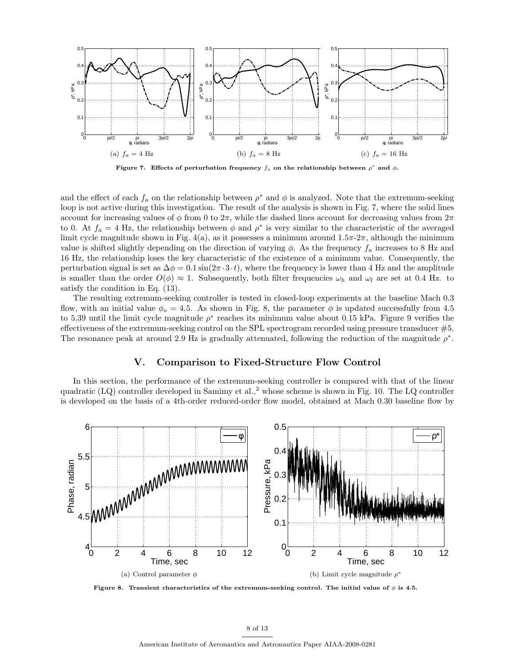

Figure 7. Effects of perturbation frequency  $f_a$  on the relationship between  $\rho^*$  and  $\phi$ .

and the effect of each  $f_a$  on the relationship between  $\rho^*$  and  $\phi$  is analyzed. Note that the extremum-seeking loop is not active during this investigation. The result of the analysis is shown in Fig. 7, where the solid lines account for increasing values of  $\phi$  from 0 to  $2\pi$ , while the dashed lines account for decreasing values from  $2\pi$ to 0. At  $f_a = 4$  Hz, the relationship between  $\phi$  and  $\rho^*$  is very similar to the characteristic of the averaged limit cycle magnitude shown in Fig. 4(a), as it possesses a minimum around  $1.5\pi$ - $2\pi$ , although the minimum value is shifted slightly depending on the direction of varying  $\phi$ . As the frequency  $f_a$  increases to 8 Hz and 16 Hz, the relationship loses the key characteristic of the existence of a minimum value. Consequently, the perturbation signal is set as  $\Delta \phi = 0.1 \sin(2\pi \cdot 3 \cdot t)$ , where the frequency is lower than 4 Hz and the amplitude is smaller than the order  $O(\phi) \approx 1$ . Subsequently, both filter frequencies  $\omega_h$  and  $\omega_l$  are set at 0.4 Hz. to satisfy the condition in Eq. (13).

The resulting extremum-seeking controller is tested in closed-loop experiments at the baseline Mach 0.3 flow, with an initial value  $\phi_o = 4.5$ . As shown in Fig. 8, the parameter  $\phi$  is updated successfully from 4.5 to 5.39 until the limit cycle magnitude  $\rho^*$  reaches its minimum value about 0.15 kPa. Figure 9 verifies the effectiveness of the extremum-seeking control on the SPL spectrogram recorded using pressure transducer #5. The resonance peak at around 2.9 Hz is gradually attenuated, following the reduction of the magnitude  $\rho^*$ .

## V. Comparison to Fixed-Structure Flow Control

In this section, the performance of the extremum-seeking controller is compared with that of the linear quadratic (LQ) controller developed in Samimy et al.,<sup>2</sup> whose scheme is shown in Fig. 10. The LQ controller is developed on the basis of a 4th-order reduced-order flow model, obtained at Mach 0.30 baseline flow by



Figure 8. Transient characteristics of the extremum-seeking control. The initial value of  $\phi$  is 4.5.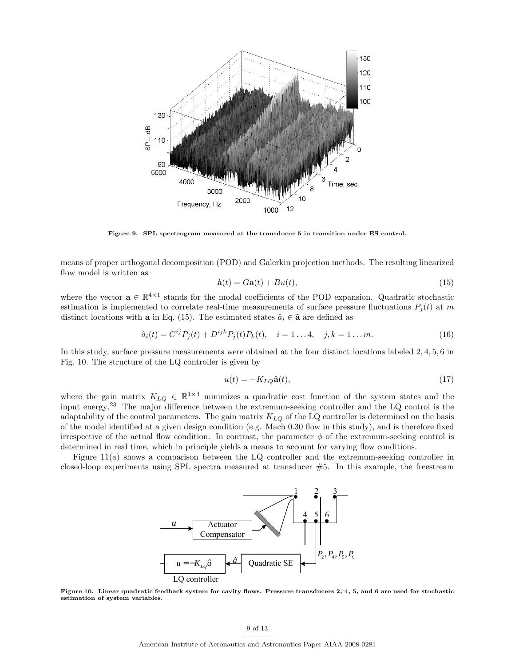

Figure 9. SPL spectrogram measured at the transducer 5 in transition under ES control.

means of proper orthogonal decomposition (POD) and Galerkin projection methods. The resulting linearized flow model is written as

$$
\dot{\mathbf{a}}(t) = G\mathbf{a}(t) + Bu(t),\tag{15}
$$

where the vector  $\mathbf{a} \in \mathbb{R}^{4 \times 1}$  stands for the modal coefficients of the POD expansion. Quadratic stochastic estimation is implemented to correlate real-time measurements of surface pressure fluctuations  $P_i(t)$  at m distinct locations with a in Eq. (15). The estimated states  $\hat{a}_i \in \hat{\mathbf{a}}$  are defined as

$$
\hat{a}_i(t) = C^{ij} P_j(t) + D^{ijk} P_j(t) P_k(t), \quad i = 1...4, \quad j, k = 1...m.
$$
 (16)

In this study, surface pressure measurements were obtained at the four distinct locations labeled 2, 4, 5, 6 in Fig. 10. The structure of the LQ controller is given by

$$
u(t) = -K_{LQ}\hat{\mathbf{a}}(t),\tag{17}
$$

where the gain matrix  $K_{LQ} \in \mathbb{R}^{1 \times 4}$  minimizes a quadratic cost function of the system states and the input energy.<sup>23</sup> The major difference between the extremum-seeking controller and the LQ control is the adaptability of the control parameters. The gain matrix  $K_{LQ}$  of the LQ controller is determined on the basis of the model identified at a given design condition (e.g. Mach 0.30 flow in this study), and is therefore fixed irrespective of the actual flow condition. In contrast, the parameter  $\phi$  of the extremum-seeking control is determined in real time, which in principle yields a means to account for varying flow conditions.

Figure 11(a) shows a comparison between the LQ controller and the extremum-seeking controller in closed-loop experiments using SPL spectra measured at transducer #5. In this example, the freestream



Figure 10. Linear quadratic feedback system for cavity flows. Pressure transducers 2, 4, 5, and 6 are used for stochastic estimation of system variables.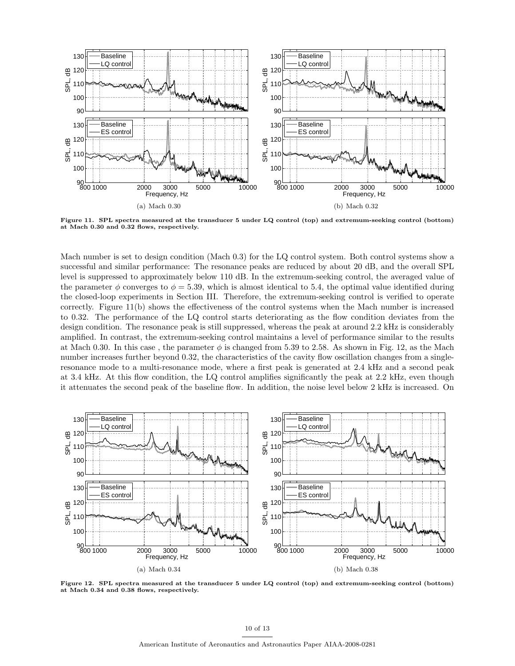

Figure 11. SPL spectra measured at the transducer 5 under LQ control (top) and extremum-seeking control (bottom) at Mach 0.30 and 0.32 flows, respectively.

Mach number is set to design condition (Mach 0.3) for the LQ control system. Both control systems show a successful and similar performance: The resonance peaks are reduced by about 20 dB, and the overall SPL level is suppressed to approximately below 110 dB. In the extremum-seeking control, the averaged value of the parameter  $\phi$  converges to  $\phi = 5.39$ , which is almost identical to 5.4, the optimal value identified during the closed-loop experiments in Section III. Therefore, the extremum-seeking control is verified to operate correctly. Figure 11(b) shows the effectiveness of the control systems when the Mach number is increased to 0.32. The performance of the LQ control starts deteriorating as the flow condition deviates from the design condition. The resonance peak is still suppressed, whereas the peak at around 2.2 kHz is considerably amplified. In contrast, the extremum-seeking control maintains a level of performance similar to the results at Mach 0.30. In this case, the parameter  $\phi$  is changed from 5.39 to 2.58. As shown in Fig. 12, as the Mach number increases further beyond 0.32, the characteristics of the cavity flow oscillation changes from a singleresonance mode to a multi-resonance mode, where a first peak is generated at 2.4 kHz and a second peak at 3.4 kHz. At this flow condition, the LQ control amplifies significantly the peak at 2.2 kHz, even though it attenuates the second peak of the baseline flow. In addition, the noise level below 2 kHz is increased. On



Figure 12. SPL spectra measured at the transducer 5 under LQ control (top) and extremum-seeking control (bottom) at Mach 0.34 and 0.38 flows, respectively.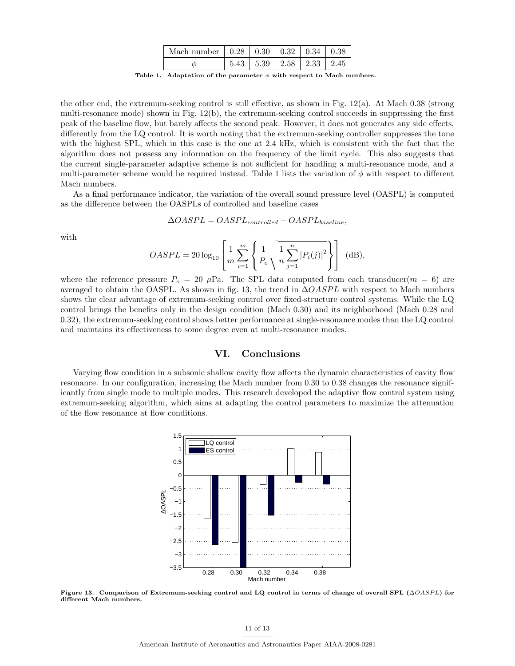| Mach number $\vert 0.28 \vert 0.30 \vert 0.32 \vert 0.34 \vert 0.38$ |                                            |  |  |
|----------------------------------------------------------------------|--------------------------------------------|--|--|
|                                                                      | $5.43 \pm 5.39 \pm 2.58 \pm 2.33 \pm 2.45$ |  |  |

Table 1. Adaptation of the parameter  $\phi$  with respect to Mach numbers.

the other end, the extremum-seeking control is still effective, as shown in Fig. 12(a). At Mach 0.38 (strong multi-resonance mode) shown in Fig. 12(b), the extremum-seeking control succeeds in suppressing the first peak of the baseline flow, but barely affects the second peak. However, it does not generates any side effects, differently from the LQ control. It is worth noting that the extremum-seeking controller suppresses the tone with the highest SPL, which in this case is the one at 2.4 kHz, which is consistent with the fact that the algorithm does not possess any information on the frequency of the limit cycle. This also suggests that the current single-parameter adaptive scheme is not sufficient for handling a multi-resonance mode, and a multi-parameter scheme would be required instead. Table 1 lists the variation of  $\phi$  with respect to different Mach numbers.

As a final performance indicator, the variation of the overall sound pressure level (OASPL) is computed as the difference between the OASPLs of controlled and baseline cases

$$
\Delta OASPL = OASPL_{controlled} - OASPL_{baseline},
$$

with

$$
OASPL = 20 \log_{10} \left[ \frac{1}{m} \sum_{i=1}^{m} \left\{ \frac{1}{P_o} \sqrt{\frac{1}{n} \sum_{j=1}^{n} |P_i(j)|^2} \right\} \right] \quad (\text{dB}),
$$

where the reference pressure  $P_0 = 20 \mu Pa$ . The SPL data computed from each transducer( $m = 6$ ) are averaged to obtain the OASPL. As shown in fig. 13, the trend in  $\Delta OASPL$  with respect to Mach numbers shows the clear advantage of extremum-seeking control over fixed-structure control systems. While the LQ control brings the benefits only in the design condition (Mach 0.30) and its neighborhood (Mach 0.28 and 0.32), the extremum-seeking control shows better performance at single-resonance modes than the LQ control and maintains its effectiveness to some degree even at multi-resonance modes.

## VI. Conclusions

Varying flow condition in a subsonic shallow cavity flow affects the dynamic characteristics of cavity flow resonance. In our configuration, increasing the Mach number from 0.30 to 0.38 changes the resonance significantly from single mode to multiple modes. This research developed the adaptive flow control system using extremum-seeking algorithm, which aims at adapting the control parameters to maximize the attenuation of the flow resonance at flow conditions.



Figure 13. Comparison of Extremum-seeking control and LQ control in terms of change of overall SPL ( $\triangle OASPL$ ) for different Mach numbers.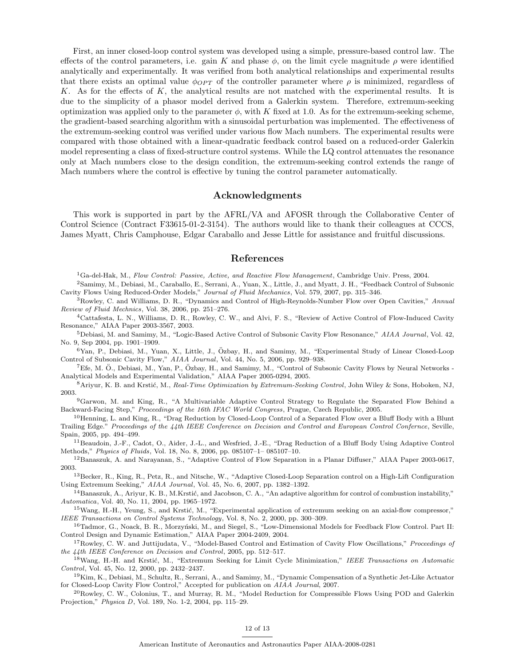First, an inner closed-loop control system was developed using a simple, pressure-based control law. The effects of the control parameters, i.e. gain K and phase  $\phi$ , on the limit cycle magnitude  $\rho$  were identified analytically and experimentally. It was verified from both analytical relationships and experimental results that there exists an optimal value  $\phi_{OPT}$  of the controller parameter where  $\rho$  is minimized, regardless of K. As for the effects of K, the analytical results are not matched with the experimental results. It is due to the simplicity of a phasor model derived from a Galerkin system. Therefore, extremum-seeking optimization was applied only to the parameter  $\phi$ , with K fixed at 1.0. As for the extremum-seeking scheme, the gradient-based searching algorithm with a sinusoidal perturbation was implemented. The effectiveness of the extremum-seeking control was verified under various flow Mach numbers. The experimental results were compared with those obtained with a linear-quadratic feedback control based on a reduced-order Galerkin model representing a class of fixed-structure control systems. While the LQ control attenuates the resonance only at Mach numbers close to the design condition, the extremum-seeking control extends the range of Mach numbers where the control is effective by tuning the control parameter automatically.

#### Acknowledgments

This work is supported in part by the AFRL/VA and AFOSR through the Collaborative Center of Control Science (Contract F33615-01-2-3154). The authors would like to thank their colleagues at CCCS, James Myatt, Chris Camphouse, Edgar Caraballo and Jesse Little for assistance and fruitful discussions.

## References

 ${}^{1}$ Ga-del-Hak, M., Flow Control: Passive, Active, and Reactive Flow Management, Cambridge Univ. Press, 2004.

<sup>2</sup>Samimy, M., Debiasi, M., Caraballo, E., Serrani, A., Yuan, X., Little, J., and Myatt, J. H., "Feedback Control of Subsonic Cavity Flows Using Reduced-Order Models," Journal of Fluid Mechanics, Vol. 579, 2007, pp. 315–346.

<sup>3</sup>Rowley, C. and Williams, D. R., "Dynamics and Control of High-Reynolds-Number Flow over Open Cavities," Annual Review of Fluid Mechnics, Vol. 38, 2006, pp. 251–276.

<sup>4</sup>Cattafesta, L. N., Williams, D. R., Rowley, C. W., and Alvi, F. S., "Review of Active Control of Flow-Induced Cavity Resonance," AIAA Paper 2003-3567, 2003.

<sup>5</sup>Debiasi, M. and Samimy, M., "Logic-Based Active Control of Subsonic Cavity Flow Resonance," AIAA Journal, Vol. 42, No. 9, Sep 2004, pp. 1901–1909.

 $6$ Yan, P., Debiasi, M., Yuan, X., Little, J., Özbay, H., and Samimy, M., "Experimental Study of Linear Closed-Loop Control of Subsonic Cavity Flow," AIAA Journal, Vol. 44, No. 5, 2006, pp. 929–938.

<sup>7</sup>Efe, M. O., Debiasi, M., Yan, P., Özbay, H., and Samimy, M., "Control of Subsonic Cavity Flows by Neural Networks -Analytical Models and Experimental Validation," AIAA Paper 2005-0294, 2005.

8 Ariyur, K. B. and Krstić, M., Real-Time Optimization by Extremum-Seeking Control, John Wiley & Sons, Hoboken, NJ, 2003.

<sup>9</sup>Garwon, M. and King, R., "A Multivariable Adaptive Control Strategy to Regulate the Separated Flow Behind a Backward-Facing Step," Proceedings of the 16th IFAC World Congress, Prague, Czech Republic, 2005.

<sup>10</sup>Henning, L. and King, R., "Drag Reduction by Closed-Loop Control of a Separated Flow over a Bluff Body with a Blunt Trailing Edge." Proceedings of the 44th IEEE Conference on Decision and Control and European Control Confernce, Seville, Spain, 2005, pp. 494–499.

<sup>11</sup>Beaudoin, J.-F., Cadot, O., Aider, J.-L., and Wesfried, J.-E., "Drag Reduction of a Bluff Body Using Adaptive Control Methods," Physics of Fluids, Vol. 18, No. 8, 2006, pp. 085107–1– 085107–10.

<sup>12</sup>Banaszuk, A. and Narayanan, S., "Adaptive Control of Flow Separation in a Planar Diffuser," AIAA Paper 2003-0617, 2003.

<sup>13</sup>Becker, R., King, R., Petz, R., and Nitsche, W., "Adaptive Closed-Loop Separation control on a High-Lift Configuration Using Extremum Seeking," AIAA Journal, Vol. 45, No. 6, 2007, pp. 1382–1392.

 $14$ Banaszuk, A., Ariyur, K. B., M.Krstić, and Jacobson, C. A., "An adaptive algorithm for control of combustion instability," Automatica, Vol. 40, No. 11, 2004, pp. 1965–1972.

 $15$ Wang, H.-H., Yeung, S., and Krstić, M., "Experimental application of extremum seeking on an axial-flow compressor," IEEE Transactions on Control Systems Technology, Vol. 8, No. 2, 2000, pp. 300–309.

<sup>16</sup>Tadmor, G., Noack, B. R., Morzyński, M., and Siegel, S., "Low-Dimensional Models for Feedback Flow Control. Part II: Control Design and Dynamic Estimation," AIAA Paper 2004-2409, 2004.

<sup>17</sup>Rowley, C. W. and Juttijudata, V., "Model-Based Control and Estimation of Cavity Flow Oscillations," Proceedings of the 44th IEEE Conference on Decision and Control, 2005, pp. 512–517.

<sup>18</sup>Wang, H.-H. and Krstić, M., "Extremum Seeking for Limit Cycle Minimization," IEEE Transactions on Automatic Control, Vol. 45, No. 12, 2000, pp. 2432–2437.

<sup>19</sup>Kim, K., Debiasi, M., Schultz, R., Serrani, A., and Samimy, M., "Dynamic Compensation of a Synthetic Jet-Like Actuator for Closed-Loop Cavity Flow Control," Accepted for publication on AIAA Journal, 2007.

 $^{20}$ Rowley, C. W., Colonius, T., and Murray, R. M., "Model Reduction for Compressible Flows Using POD and Galerkin Projection," Physica D, Vol. 189, No. 1-2, 2004, pp. 115–29.